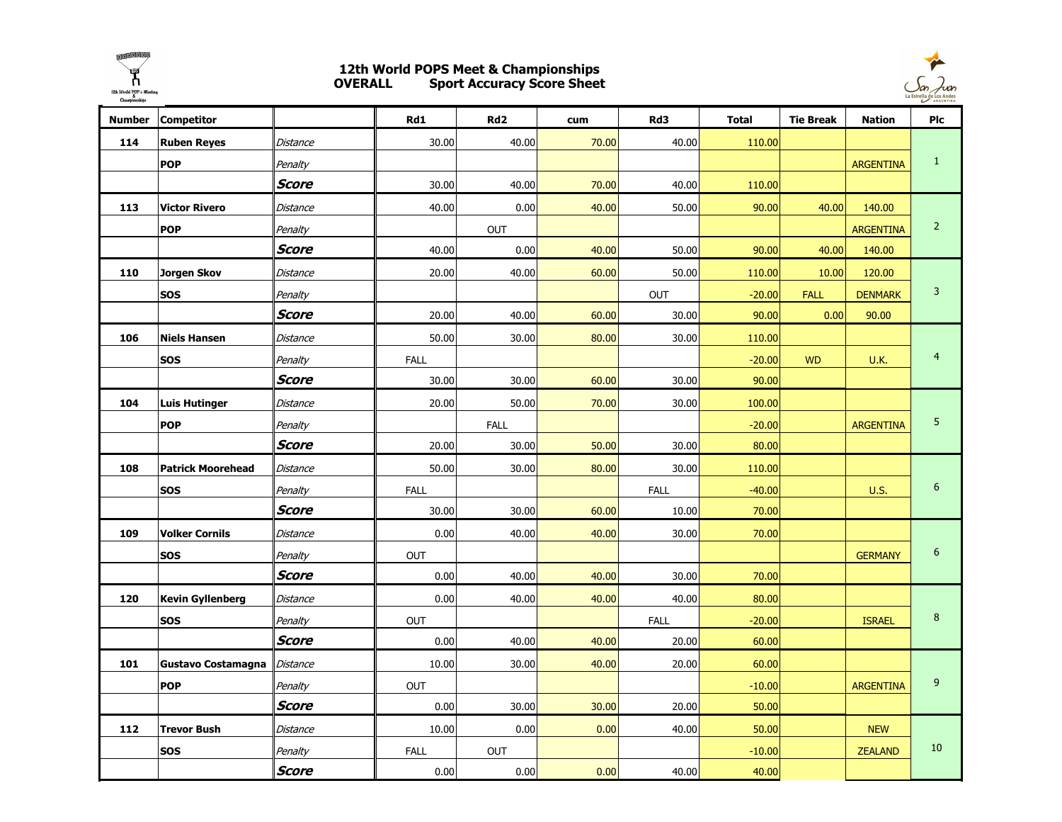

## 12th World POPS Meet & Championships OVERALL Sport Accuracy Score Sheet



| <b>Number</b> | <b>Competitor</b>        |              | Rd1         | Rd <sub>2</sub> | cum   | Rd3         | <b>Total</b> | <b>Tie Break</b> | <b>Nation</b>    | Plc            |
|---------------|--------------------------|--------------|-------------|-----------------|-------|-------------|--------------|------------------|------------------|----------------|
| 114           | <b>Ruben Reyes</b>       | Distance     | 30.00       | 40.00           | 70.00 | 40.00       | 110.00       |                  |                  |                |
|               | <b>POP</b>               | Penalty      |             |                 |       |             |              |                  | <b>ARGENTINA</b> | $\mathbf{1}$   |
|               |                          | Score        | 30.00       | 40.00           | 70.00 | 40.00       | 110.00       |                  |                  |                |
| 113           | <b>Victor Rivero</b>     | Distance     | 40.00       | 0.00            | 40.00 | 50.00       | 90.00        | 40.00            | 140.00           |                |
|               | <b>POP</b>               | Penalty      |             | <b>OUT</b>      |       |             |              |                  | <b>ARGENTINA</b> | $\overline{2}$ |
|               |                          | <b>Score</b> | 40.00       | 0.00            | 40.00 | 50.00       | 90.00        | 40.00            | 140.00           |                |
| 110           | Jorgen Skov              | Distance     | 20.00       | 40.00           | 60.00 | 50.00       | 110.00       | 10.00            | 120.00           |                |
|               | <b>SOS</b>               | Penalty      |             |                 |       | <b>OUT</b>  | $-20.00$     | <b>FALL</b>      | <b>DENMARK</b>   | $\mathbf{3}$   |
|               |                          | Score        | 20.00       | 40.00           | 60.00 | 30.00       | 90.00        | 0.00             | 90.00            |                |
| 106           | <b>Niels Hansen</b>      | Distance     | 50.00       | 30.00           | 80.00 | 30.00       | 110.00       |                  |                  |                |
|               | SOS                      | Penalty      | <b>FALL</b> |                 |       |             | $-20.00$     | <b>WD</b>        | <b>U.K.</b>      | $\overline{4}$ |
|               |                          | Score        | 30.00       | 30.00           | 60.00 | 30.00       | 90.00        |                  |                  |                |
| 104           | <b>Luis Hutinger</b>     | Distance     | 20.00       | 50.00           | 70.00 | 30.00       | 100.00       |                  |                  |                |
|               | <b>POP</b>               | Penalty      |             | <b>FALL</b>     |       |             | $-20.00$     |                  | <b>ARGENTINA</b> | 5              |
|               |                          | <b>Score</b> | 20.00       | 30.00           | 50.00 | 30.00       | 80.00        |                  |                  |                |
| 108           | <b>Patrick Moorehead</b> | Distance     | 50.00       | 30.00           | 80.00 | 30.00       | 110.00       |                  |                  |                |
|               | <b>SOS</b>               | Penalty      | <b>FALL</b> |                 |       | <b>FALL</b> | $-40.00$     |                  | <b>U.S.</b>      | $6\,$          |
|               |                          | Score        | 30.00       | 30.00           | 60.00 | 10.00       | 70.00        |                  |                  |                |
| 109           | <b>Volker Cornils</b>    | Distance     | 0.00        | 40.00           | 40.00 | 30.00       | 70.00        |                  |                  |                |
|               | <b>SOS</b>               | Penalty      | <b>OUT</b>  |                 |       |             |              |                  | <b>GERMANY</b>   | $6\phantom{1}$ |
|               |                          | <b>Score</b> | 0.00        | 40.00           | 40.00 | 30.00       | 70.00        |                  |                  |                |
| 120           | <b>Kevin Gyllenberg</b>  | Distance     | 0.00        | 40.00           | 40.00 | 40.00       | 80.00        |                  |                  |                |
|               | <b>SOS</b>               | Penalty      | <b>OUT</b>  |                 |       | <b>FALL</b> | $-20.00$     |                  | <b>ISRAEL</b>    | $\bf 8$        |
|               |                          | <b>Score</b> | 0.00        | 40.00           | 40.00 | 20.00       | 60.00        |                  |                  |                |
| 101           | Gustavo Costamagna       | Distance     | 10.00       | 30.00           | 40.00 | 20.00       | 60.00        |                  |                  |                |
|               | <b>POP</b>               | Penalty      | <b>OUT</b>  |                 |       |             | $-10.00$     |                  | <b>ARGENTINA</b> | 9              |
|               |                          | Score        | 0.00        | 30.00           | 30.00 | 20.00       | 50.00        |                  |                  |                |
| 112           | <b>Trevor Bush</b>       | Distance     | 10.00       | 0.00            | 0.00  | 40.00       | 50.00        |                  | <b>NEW</b>       |                |
|               | <b>SOS</b>               | Penalty      | <b>FALL</b> | <b>OUT</b>      |       |             | $-10.00$     |                  | <b>ZEALAND</b>   | $10\,$         |
|               |                          | Score        | 0.00        | 0.00            | 0.00  | 40.00       | 40.00        |                  |                  |                |